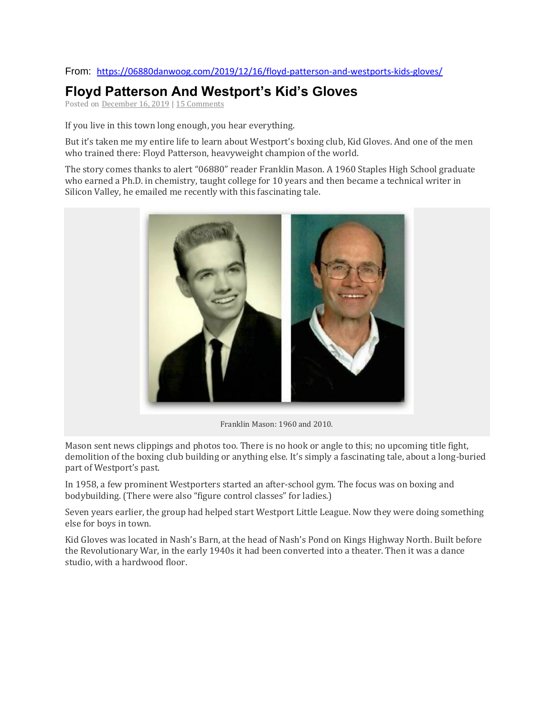## From: <https://06880danwoog.com/2019/12/16/floyd-patterson-and-westports-kids-gloves/>

## **Floyd Patterson And Westport's Kid's Gloves**

Posted on [December](https://06880danwoog.com/2019/12/16/floyd-patterson-and-westports-kids-gloves/) 16, 2019 | 15 [Comments](https://06880danwoog.com/2019/12/16/floyd-patterson-and-westports-kids-gloves/#comments)

If you live in this town long enough, you hear everything.

But it's taken me my entire life to learn about Westport's boxing club, Kid Gloves. And one of the men who trained there: Floyd Patterson, heavyweight champion of the world.

The story comes thanks to alert "06880" reader Franklin Mason. A 1960 Staples High School graduate who earned a Ph.D. in chemistry, taught college for 10 years and then became a technical writer in Silicon Valley, he emailed me recently with this fascinating tale.



Franklin Mason: 1960 and 2010.

Mason sent news clippings and photos too. There is no hook or angle to this; no upcoming title fight, demolition of the boxing club building or anything else. It's simply a fascinating tale, about a long-buried part of Westport's past.

In 1958, a few prominent Westporters started an after-school gym. The focus was on boxing and bodybuilding. (There were also "figure control classes" for ladies.)

Seven years earlier, the group had helped start Westport Little League. Now they were doing something else for boys in town.

Kid Gloves was located in Nash's Barn, at the head of Nash's Pond on Kings Highway North. Built before the Revolutionary War, in the early 1940s it had been converted into a theater. Then it was a dance studio, with a hardwood floor.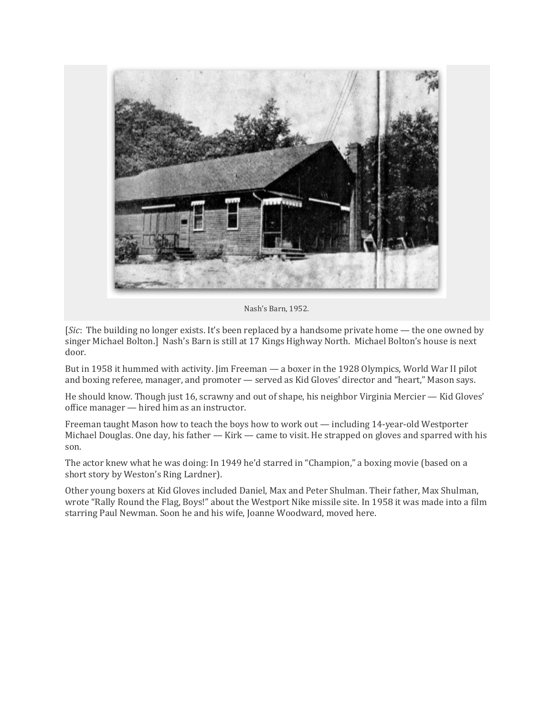

Nash's Barn, 1952.

[*Sic*: The building no longer exists. It's been replaced by a handsome private home — the one owned by singer Michael Bolton.] Nash's Barn is still at 17 Kings Highway North. Michael Bolton's house is next door.

But in 1958 it hummed with activity. Jim Freeman — a boxer in the 1928 Olympics, World War II pilot and boxing referee, manager, and promoter — served as Kid Gloves' director and "heart," Mason says.

He should know. Though just 16, scrawny and out of shape, his neighbor Virginia Mercier — Kid Gloves' office manager — hired him as an instructor.

Freeman taught Mason how to teach the boys how to work out — including 14-year-old Westporter Michael Douglas. One day, his father — Kirk — came to visit. He strapped on gloves and sparred with his son.

The actor knew what he was doing: In 1949 he'd starred in "Champion," a boxing movie (based on a short story by Weston's Ring Lardner).

Other young boxers at Kid Gloves included Daniel, Max and Peter Shulman. Their father, Max Shulman, wrote "Rally Round the Flag, Boys!" about the Westport Nike missile site. In 1958 it was made into a film starring Paul Newman. Soon he and his wife, Joanne Woodward, moved here.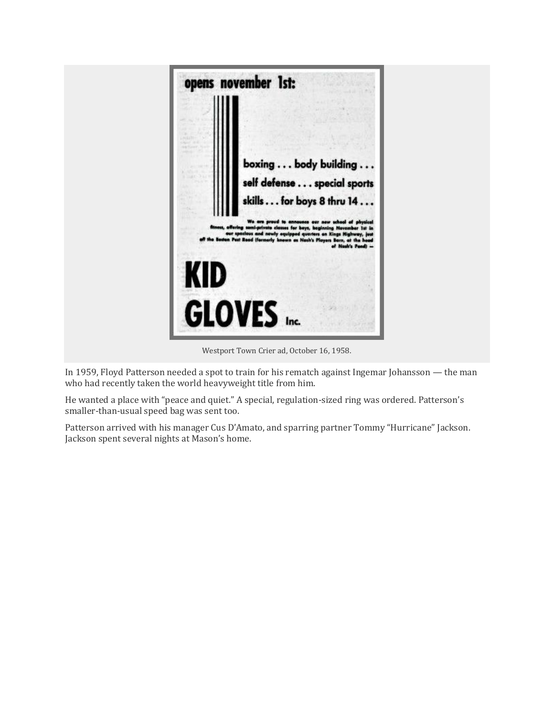

Westport Town Crier ad, October 16, 1958.

In 1959, Floyd Patterson needed a spot to train for his rematch against Ingemar Johansson — the man who had recently taken the world heavyweight title from him.

He wanted a place with "peace and quiet." A special, regulation-sized ring was ordered. Patterson's smaller-than-usual speed bag was sent too.

Patterson arrived with his manager Cus D'Amato, and sparring partner Tommy "Hurricane" Jackson. Jackson spent several nights at Mason's home.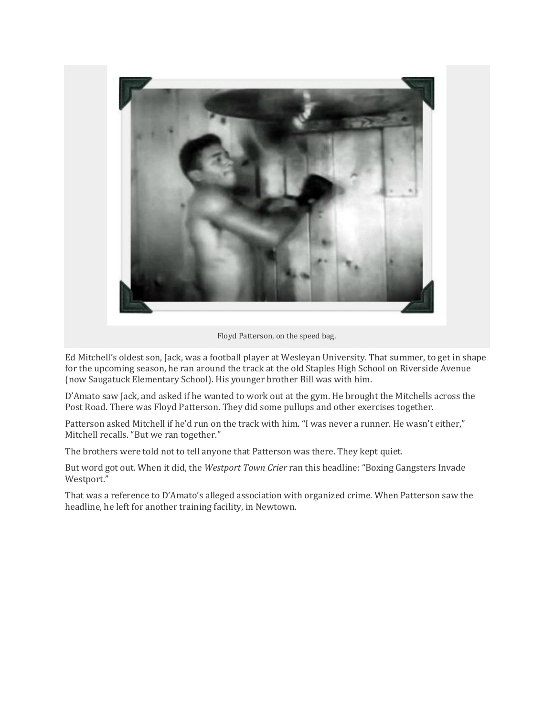

Floyd Patterson, on the speed bag.

Ed Mitchell's oldest son, Jack, was a football player at Wesleyan University. That summer, to get in shape for the upcoming season, he ran around the track at the old Staples High School on Riverside Avenue (now Saugatuck Elementary School). His younger brother Bill was with him.

D'Amato saw Jack, and asked if he wanted to work out at the gym. He brought the Mitchells across the Post Road. There was Floyd Patterson. They did some pullups and other exercises together.

Patterson asked Mitchell if he'd run on the track with him. "I was never a runner. He wasn't either," Mitchell recalls. "But we ran together."

The brothers were told not to tell anyone that Patterson was there. They kept quiet.

But word got out. When it did, the *Westport Town Crier* ran this headline: "Boxing Gangsters Invade Westport."

That was a reference to D'Amato's alleged association with organized crime. When Patterson saw the headline, he left for another training facility, in Newtown.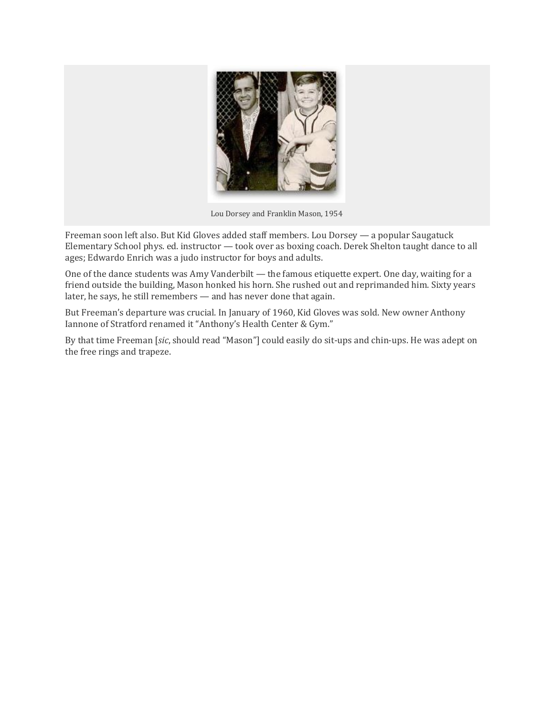

Lou Dorsey and Franklin Mason, 1954

Freeman soon left also. But Kid Gloves added staff members. Lou Dorsey — a popular Saugatuck Elementary School phys. ed. instructor — took over as boxing coach. Derek Shelton taught dance to all ages; Edwardo Enrich was a judo instructor for boys and adults.

One of the dance students was Amy Vanderbilt — the famous etiquette expert. One day, waiting for a friend outside the building, Mason honked his horn. She rushed out and reprimanded him. Sixty years later, he says, he still remembers — and has never done that again.

But Freeman's departure was crucial. In January of 1960, Kid Gloves was sold. New owner Anthony Iannone of Stratford renamed it "Anthony's Health Center & Gym."

By that time Freeman [*sic*, should read "Mason"] could easily do sit-ups and chin-ups. He was adept on the free rings and trapeze.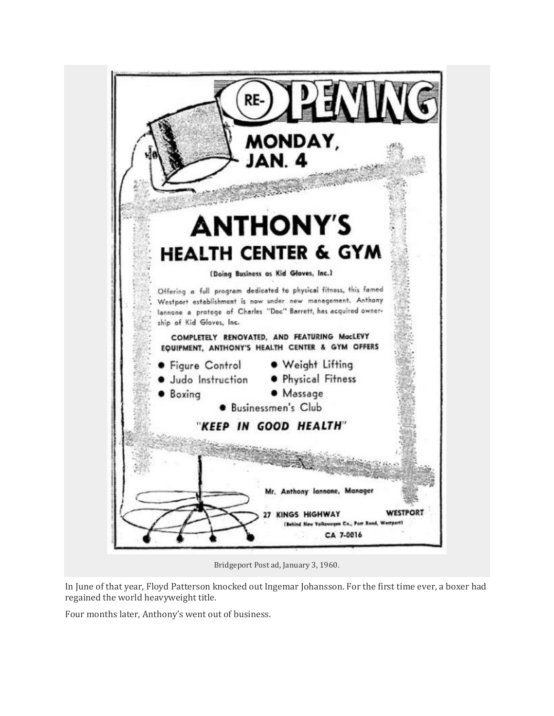

Bridgeport Post ad, January 3, 1960.

In June of that year, Floyd Patterson knocked out Ingemar Johansson. For the first time ever, a boxer had regained the world heavyweight title.

Four months later, Anthony's went out of business.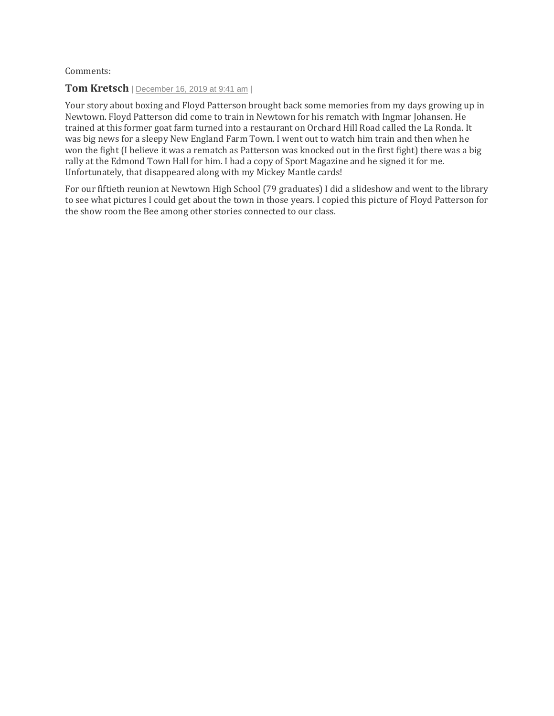Comments:

## **Tom Kretsch** | [December](https://06880danwoog.com/2019/12/16/floyd-patterson-and-westports-kids-gloves/#comment-166390) 16, 2019 at 9:41 am |

Your story about boxing and Floyd Patterson brought back some memories from my days growing up in Newtown. Floyd Patterson did come to train in Newtown for his rematch with Ingmar Johansen. He trained at this former goat farm turned into a restaurant on Orchard Hill Road called the La Ronda. It was big news for a sleepy New England Farm Town. I went out to watch him train and then when he won the fight (I believe it was a rematch as Patterson was knocked out in the first fight) there was a big rally at the Edmond Town Hall for him. I had a copy of Sport Magazine and he signed it for me. Unfortunately, that disappeared along with my Mickey Mantle cards!

For our fiftieth reunion at Newtown High School (79 graduates) I did a slideshow and went to the library to see what pictures I could get about the town in those years. I copied this picture of Floyd Patterson for the show room the Bee among other stories connected to our class.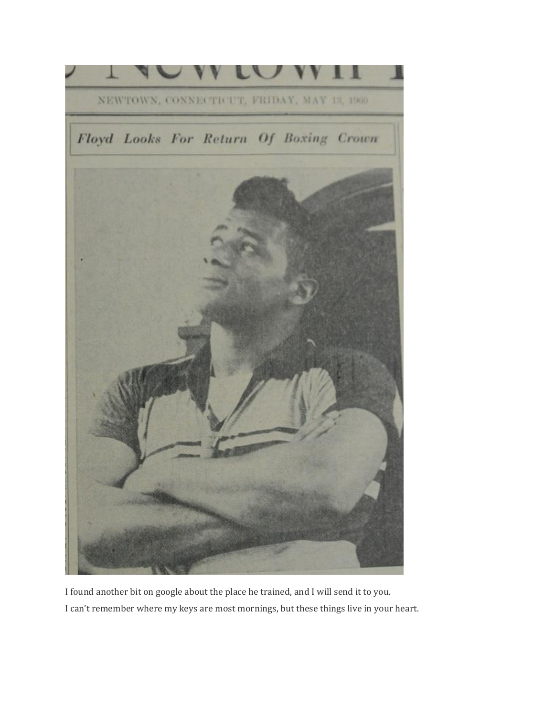

I found another bit on google about the place he trained, and I will send it to you. I can't remember where my keys are most mornings, but these things live in your heart.